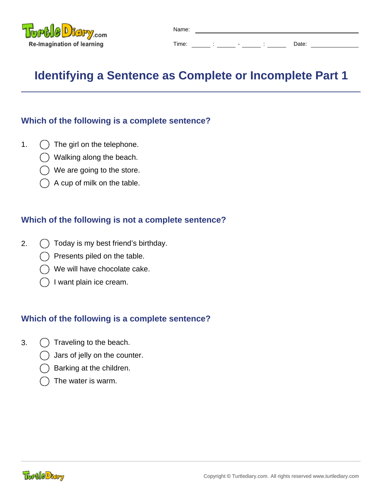

| Name: |  |                          |       |  |
|-------|--|--------------------------|-------|--|
| Time: |  | $\overline{\phantom{a}}$ | Date: |  |

# **Identifying a Sentence as Complete or Incomplete Part 1**

## **Which of the following is a complete sentence?**

- 1.  $\bigcap$  The girl on the telephone.
	- Walking along the beach.
	- We are going to the store.
	- A cup of milk on the table.

#### **Which of the following is not a complete sentence?**

- 2.  $\bigcap$  Today is my best friend's birthday.
	- Presents piled on the table.
	- We will have chocolate cake.
	- I want plain ice cream.

- 3.  $( )$  Traveling to the beach.
	- Jars of jelly on the counter.
	- Barking at the children.
	- The water is warm.

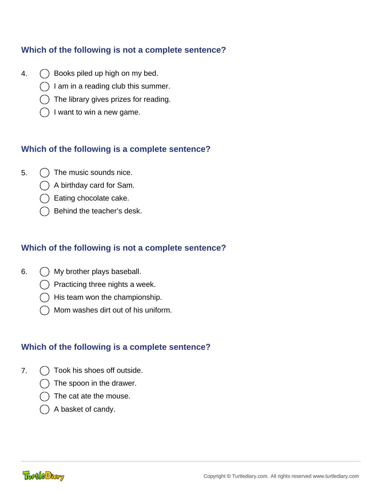## **Which of the following is not a complete sentence?**

- 4.  $\bigcap$  Books piled up high on my bed.
	- I am in a reading club this summer.
	- The library gives prizes for reading.
	- I want to win a new game.

#### **Which of the following is a complete sentence?**

- $5. \cap$  The music sounds nice.
	- A birthday card for Sam.
	- Eating chocolate cake.
	- Behind the teacher's desk.

## **Which of the following is not a complete sentence?**

- 6. My brother plays baseball.
	- Practicing three nights a week.
	- His team won the championship.
	- Mom washes dirt out of his uniform.

- 7.  $\bigcap$  Took his shoes off outside.
	- The spoon in the drawer.
	- The cat ate the mouse.
	- A basket of candy.

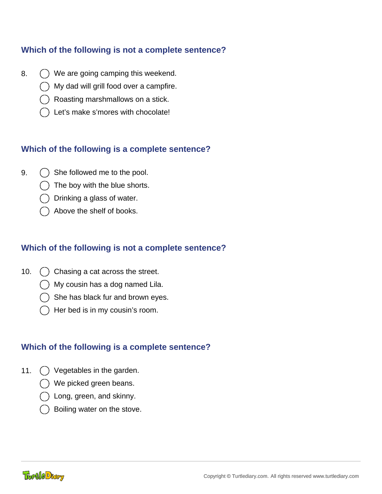## **Which of the following is not a complete sentence?**

- 8.  $\bigcirc$  We are going camping this weekend.
	- My dad will grill food over a campfire.
	- Roasting marshmallows on a stick.
	- Let's make s'mores with chocolate!

#### **Which of the following is a complete sentence?**

- 9.  $\bigcap$  She followed me to the pool.
	- The boy with the blue shorts.
	- Drinking a glass of water.
	- Above the shelf of books.

## **Which of the following is not a complete sentence?**

- 10. () Chasing a cat across the street.
	- My cousin has a dog named Lila.
	- She has black fur and brown eyes.
	- Her bed is in my cousin's room.

- 11.  $\bigcap$  Vegetables in the garden.
	- We picked green beans.
	- Long, green, and skinny.
	- Boiling water on the stove.